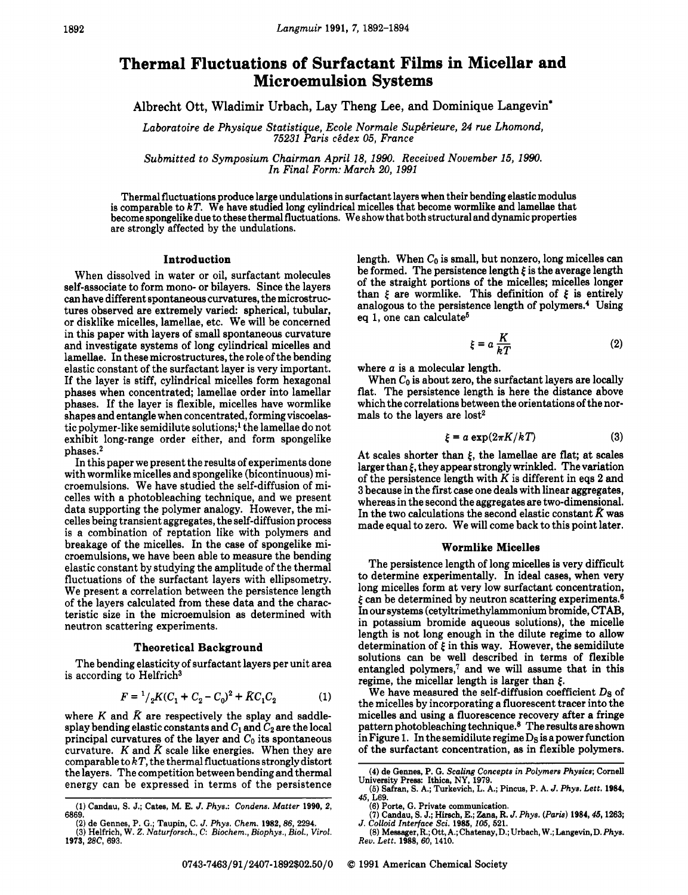# **Thermal Fluctuations of Surfactant Films in Micellar and Microemulsion Systems**

Albrecht Ott, Wladimir Urbach, Lay Theng Lee, **and** Dominique Langevin'

Laboratoire de Physique Statistique, Ecole Normale Supérieure, 24 rue Lhomond, *75231 Paris ckdex 05, France* 

*Submitted to Symposium Chairman April 18, 1990. Received November 15, 1990. In Final Form: March 20,1991* 

Thermal fluctuations produce large undulations in surfactant layers when their bending elastic modulus is comparable to *kT.* We have studied long cylindrical micelles that become wormlike and lamellae that become spongelike due to these thermal fluctuations. We show that both structural and dynamic properties are strongly affected by the undulations.

#### Introduction

When dissolved in water or oil, surfactant molecules self-associate to form mono- or bilayers. Since the layers can have different spontaneous curvatures, the microstructures observed are extremely varied: spherical, tubular, or disklike micelles, lamellae, etc. We will be concerned in this paper with layers of small spontaneous curvature and investigate systems of long cylindrical micelles and lamellae. In these microstructures, the role of the bending elastic constant of the surfactant layer is very important. If the layer is stiff, cylindrical micelles form hexagonal phases when concentrated; lamellae order into lamellar phases. If the layer is flexible, micelles have wormlike shapes and entangle when concentrated, forming viscoelastic polymer-like semidilute solutions;<sup>1</sup> the lamellae do not exhibit long-range order either, and form spongelike phases.2

In this paper we present the results of experiments done with wormlike micelles and spongelike (bicontinuous) microemulsions. We have studied the self-diffusion of micelles with a photobleaching technique, and we present data supporting the polymer analogy. However, the micelles being transient aggregates, the self-diffusion process is a combination of reptation like with polymers and breakage of the micelles. In the case of spongelike microemulsions, we have been able to measure the bending elastic constant by studying the amplitude of the thermal fluctuations of the surfactant layers with ellipsometry. We present a correlation between the persistence length of the layers calculated from these data and the characteristic size in the microemulsion as determined with neutron scattering experiments.

#### Theoretical Background

The bending elasticity of surfactant layers per unit area is according to Helfrich3

$$
F = \frac{1}{2}K(C_1 + C_2 - C_0)^2 + \bar{K}C_1C_2 \tag{1}
$$

where  $K$  and  $\bar{K}$  are respectively the splay and saddlesplay bending elastic constants and  $C_1$  and  $C_2$  are the local principal curvatures of the layer and  $C_0$  its spontaneous curvature. K and  $\bar{K}$  scale like energies. When they are comparable to *k* T, the thermal fluctuations strongly distort the layers. The competition between bending and thermal energy can be expressed in terms of the persistence length. When  $C_0$  is small, but nonzero, long micelles can be formed. The persistence length  $\xi$  is the average length of the straight portions of the micelles; micelles longer than  $\xi$  are wormlike. This definition of  $\xi$  is entirely analogous to the persistence length of polymers.' Using eq 1, one can calculate<sup>5</sup>

$$
\xi = a \frac{K}{kT} \tag{2}
$$

where *a* is a molecular length.

When  $C_0$  is about zero, the surfactant layers are locally flat. The persistence length is here the distance above which the correlations between the orientations of the normals to the lavers are lost<sup>2</sup>

$$
\xi = a \exp(2\pi K/kT) \tag{3}
$$

At scales shorter than  $\xi$ , the lamellae are flat; at scales larger than *f,* they appear strongly wrinkled. The variation of the persistence length with K is different in eqs **2** and 3 because in the first case one deals with linear aggregates, whereas in the second the aggregates are two-dimensional. In the two calculations the second elastic constant  $\bar{K}$  was made equal to zero. We will come back to this point later.

### Wormlike Micelles

The persistence length of long micelles is very difficult to determine experimentally. In ideal cases, when very long micelles form at very low surfactant concentration,  $\xi$  can be determined by neutron scattering experiments.<sup>6</sup> In our systems (cetyltrimethylammonium bromide, CTAB, in potassium bromide aqueous solutions), the micelle length is not long enough in the dilute regime to allow determination of  $\xi$  in this way. However, the semidilute solutions can be well described in terms of flexible entangled polymers? and we will assume that in this regime, the micellar length is larger than *5.* 

We have measured the self-diffusion coefficient *Ds* of the micelles by incorporating a fluorescent tracer into the micelles and using a fluorescence recovery after **a** fringe pattern photobleaching technique.8 The results are shown in Figure 1. In the semidilute regime **Ds** is apower function of the surfactant concentration, as in flexible polymers.

**<sup>(1)</sup> Candau, S.** J.; **Cates, M. E.** *J. Phys.: Condens. Matter* **1990,** *2,*  6869. ~~~~

<sup>(2)</sup> **de Gennes, P. G.; Taupin, C.** *J. Phys. Chem.* **1982,86,** 2294. (3) **Helfrich,** W. *2. Naturforsch., C: Biochem., Biophys., Biol., Virol.*  **1973,** *BC,* 693.

<sup>(4)</sup> **de Gennes, P. G.** *Scaling Concepts in Polymers Physics;* **Comell University Press: Ithica, NY,** 1979.

**<sup>(5)</sup> Safran,** S. **A.; Turkevich, L. A.; Pincus, P. A.** *J. Phys. Lett.* **1984,**  45, L69.

<sup>(6)</sup> **Porte,** G. **Private communication.** 

 $(7)$  Candau, S. J.; Hirsch, E.; Zana, R. *J. Phys. (Paris)* 1984, 45, 1263; *J. Colloid Interface Sci.* 1985, *105*, 521.

**<sup>(8)</sup> Measager,** R.; **Ott, A.; Chatenay,D.; Urbach, W.; Langevin,D.** *Phys. Rev. Lett.* **1988, 60,** 1410.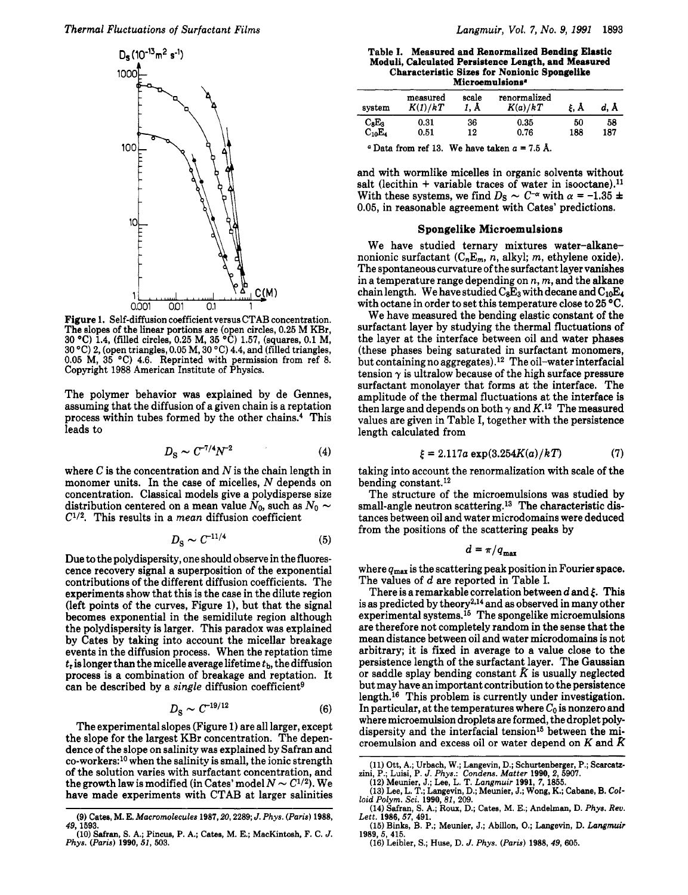

**Figure 1. Self-diffusion coefficient versus CTAB concentration. The slopes of the linear portions are (open circles, 0.25 M KBr, 30 "C) 1.4, (filled circles, 0.25 M, 35 "C) 1.57, (squares, 0.1 M, 30 "C) 2, (open triangles, 0.05 M, 30 "C) 4.4, and (filled triangles, 0.05 M, 35 "C) 4.6. Reprinted with permission from ref 8. Copyright 1988 American Institute of Physics.** 

The polymer behavior was explained by de Gennes, assuming that the diffusion of a given chain is a reptation process within tubes formed by the other chains.<sup>4</sup> This leads to

$$
D_{\rm S} \sim C^{-7/4} N^{-2} \tag{4}
$$

where  $C$  is the concentration and  $N$  is the chain length in monomer units. In the case of micelles, N depends on concentration. Classical models give a polydisperse size distribution centered on a mean value  $N_0$ , such as  $N_0 \sim$  $C^{1/2}$ . This results in a *mean* diffusion coefficient

$$
D_{\rm S} \sim C^{-11/4} \tag{5}
$$

Due to the polydispersity, one should observe in the fluorescence recovery signal a superposition of the exponential contributions of the different diffusion coefficients. The experiments show that this is the case in the dilute region (left points of the curves, Figure l), but that the signal becomes exponential in the semidilute region although the polydispersity is larger. This paradox was explained by Cates by taking into account the micellar breakage events in the diffusion process. When the reptation time  $t_r$  is longer than the micelle average lifetime  $t_b$ , the diffusion process is a combination of breakage and reptation. It can be described by a *single* diffusion coefficient<sup>9</sup>

$$
D_{\rm S} \sim C^{-19/12} \tag{6}
$$

The experimental slopes (Figure 1) are all larger, except the slope for the largest KBr concentration. The dependence of the slope on salinity was explained by Safran and co-workers:10 when the salinity is small, the ionic strength of the solution varies with surfactant concentration, and the growth law is modified (in Cates' model  $N \sim C^{1/2}$ ). We have made experiments with CTAB at larger salinities

**Table I. Measured and Renormalized Bending Elastic Moduli, Calculated Persistence Length, and Measured Characteristic Sizes for Nonionic Spongelike Microemulsions.** 

| system      | measured<br>K(1)/kT | scale<br>1. Å | renormalized<br>K(a)/kT | ξ. A | d. A |
|-------------|---------------------|---------------|-------------------------|------|------|
| $C_8E_3$    | 0.31                | 36            | 0.35                    | 50   | 58   |
| $C_{10}E_4$ | 0.51                | 12            | 0.76                    | 188  | 187  |
|             |                     |               | -- -                    |      |      |

 $\alpha$  Data from ref 13. We have taken  $\alpha$  = 7.5 Å.

and with wormlike micelles in organic solvents without salt (lecithin + variable traces of water in isooctane).<sup>11</sup> With these systems, we find  $D_S \sim C^{-\alpha}$  with  $\alpha = -1.35 \pm 1$ 0.05, in reasonable agreement with Cates' predictions.

#### **Spongelike Microemulsions**

We have studied ternary mixtures water-alkanenonionic surfactant  $(C_nE_m, n, \text{alkyl}; m, \text{ethylene oxide}).$ The spontaneous curvature of the surfactant layer vanishes in a temperature range depending on *n, m,* and the alkane chain length. We have studied  $C_8E_3$  with decane and  $C_{10}E_4$ with octane in order to set this temperature close to 25 °C.

We have measured the bending elastic constant of the surfactant layer by studying the thermal fluctuations of the layer at the interface between oil and water phases (these phases being saturated in surfactant monomers, but containingno aggregates).12 The oil-water interfacial tension  $\gamma$  is ultralow because of the high surface pressure surfactant monolayer that forms at the interface. The amplitude of the thermal fluctuations at the interface is then large and depends on both  $\gamma$  and  $K$ .<sup>12</sup> The measured values are given in Table I, together with the persistence length calculated from

$$
\xi = 2.117a \exp(3.254K(a)/kT) \tag{7}
$$

taking into account the renormalization with scale of the bending constant.<sup>12</sup>

The structure of the microemulsions was studied by small-angle neutron scattering.13 The characteristic distances between oil and water microdomains were deduced from the positions of the scattering peaks by

$$
d=\pi/q_{\max}
$$

where **qmax** is the scattering peak position in Fourier space. The values of *d* are reported in Table I.

There is a remarkable correlation between  $d$  and  $\xi$ . This is as predicted by theory<sup>2,14</sup> and as observed in many other experimental systems.15 The spongelike microemulsions are therefore not completely random in the sense that the mean distance between oil and water microdomains is not arbitrary; it is fixed in average to a value close to the persistence length of the surfactant layer. The Gaussian or saddle splay bending constant  $\bar{K}$  is usually neglected but may have an important contribution to the persistence length.<sup>16</sup> This problem is currently under investigation. In particular, at the temperatures where  $C_0$  is nonzero and where microemulsion droplets are formed, the droplet polydispersity and the interfacial tension<sup>15</sup> between the microemulsion and excess oil or water depend on  $K$  and  $\bar{K}$ 

**(16) Leibler,** *S.;* **Huse, D.** *J. Phys. (Paris)* **1988,** *49,* **605.** 

**<sup>(9)</sup> Catea, M. E.** *Macromolecules* **1987,20,2289;** *J. Phys. (Paris)* **1988,**  *49.* ~. \* **1593.** ---- **(10) Safran,** *S.* **A.; Pincue, P. A.; Cabs, M. E.; MacKintosh, F. C.** *J.* 

*Phys. (Paris)* **1990,** *51,* **503.** 

**<sup>(11)</sup> Ott, A.; Urbach, W.; Langevin, D.; Schurtenberger, P.; Scarcatz-**

zini, P.; Luisi, P. J. Phys.: Condens. Matter 1990, 2, 5907.<br>(12) Meunier, J.; Lee, L. T. *Langmuir* 1991, 7, 1855.<br>(13) Lee, L. T.; Langevin, D.; Meunier, J.; Wong, K.; Cabane, B. Col*loid Polym.* **Sci. 1990,81, 209.** 

**<sup>(14)</sup> Safran, S. A.; Rous, D.; Cates, M. E.; Andelman, D.** *Phys. Rev. Lett.* **1986, 57, 491.** 

**<sup>(15)</sup> Binke, B. P.; Meunier, J.; Abillon, 0.; Langevin, D.** *Langmuir*  **1989,** *5,* **415.**